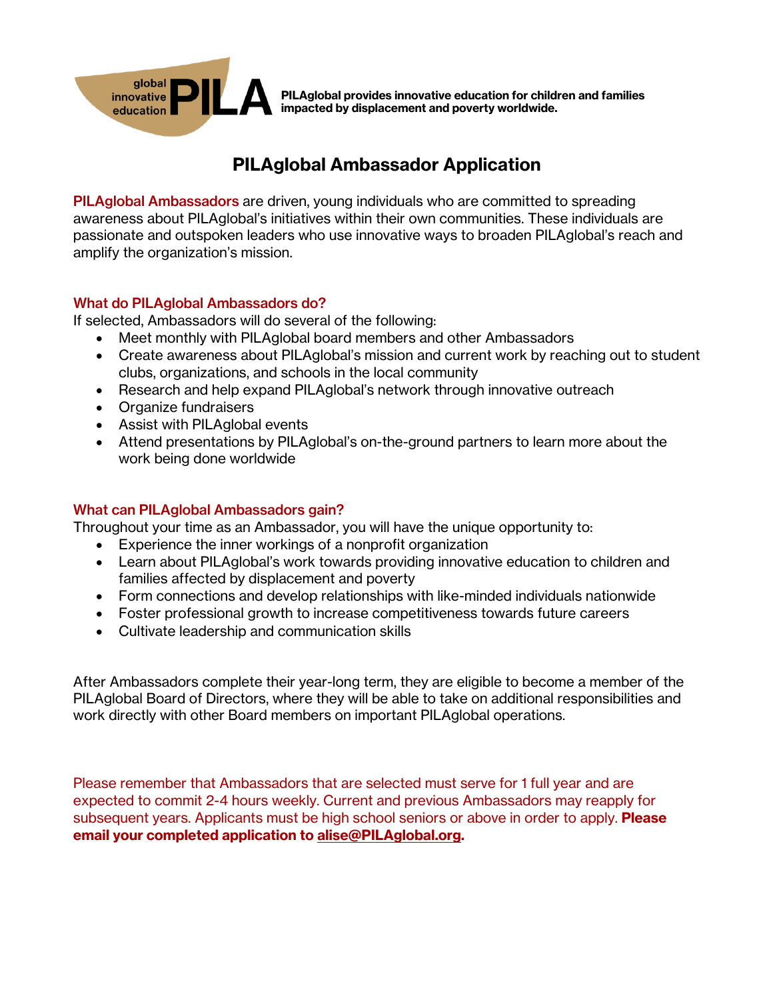

PILAglobal provides innovative education for children and families impacted by displacement and poverty worldwide.

## PILAglobal Ambassador Application

PILAglobal Ambassadors are driven, young individuals who are committed to spreading awareness about PILAglobal's initiatives within their own communities. These individuals are passionate and outspoken leaders who use innovative ways to broaden PILAglobal's reach and amplify the organization's mission.

#### What do PILAglobal Ambassadors do?

If selected, Ambassadors will do several of the following:

- Meet monthly with PILAglobal board members and other Ambassadors
- Create awareness about PILAglobal's mission and current work by reaching out to student clubs, organizations, and schools in the local community
- Research and help expand PILAglobal's network through innovative outreach
- Organize fundraisers
- Assist with PILAglobal events
- Attend presentations by PILAglobal's on-the-ground partners to learn more about the work being done worldwide

### What can PILAglobal Ambassadors gain?

Throughout your time as an Ambassador, you will have the unique opportunity to:

- Experience the inner workings of a nonprofit organization
- Learn about PILAglobal's work towards providing innovative education to children and families affected by displacement and poverty
- Form connections and develop relationships with like-minded individuals nationwide
- Foster professional growth to increase competitiveness towards future careers
- Cultivate leadership and communication skills

After Ambassadors complete their year-long term, they are eligible to become a member of the PILAglobal Board of Directors, where they will be able to take on additional responsibilities and work directly with other Board members on important PILAglobal operations.

Please remember that Ambassadors that are selected must serve for 1 full year and are expected to commit 2-4 hours weekly. Current and previous Ambassadors may reapply for subsequent years. Applicants must be high school seniors or above in order to apply. **Please** email your completed application to alise@PILAglobal.org.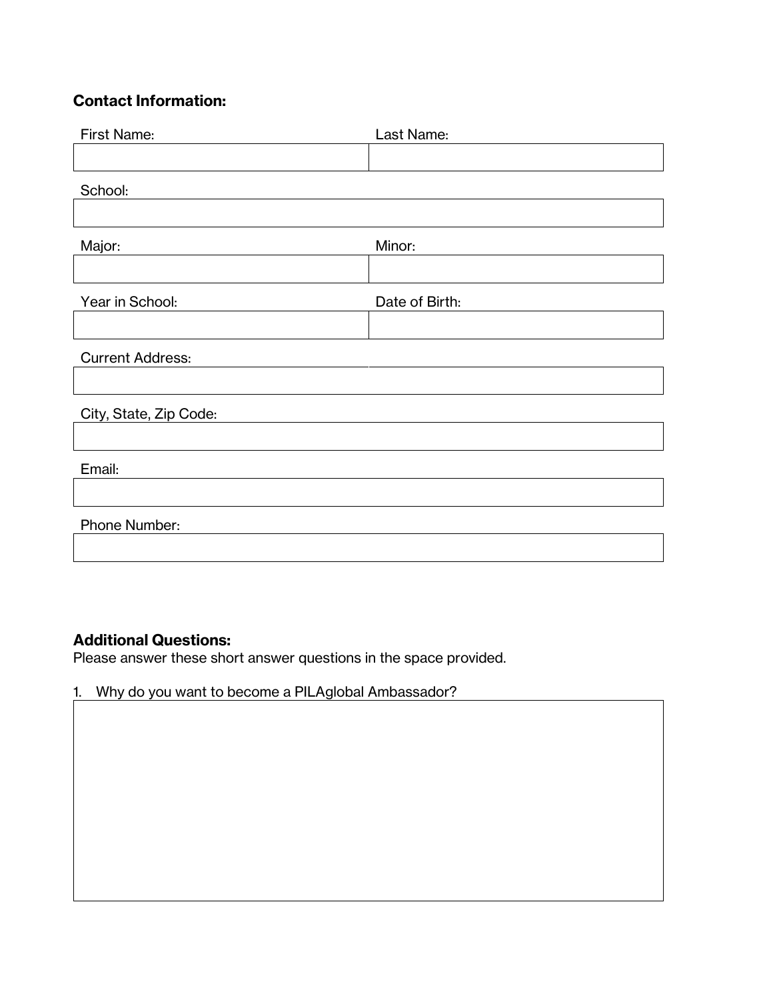## Contact Information:

| <b>First Name:</b>      | Last Name:     |
|-------------------------|----------------|
|                         |                |
| School:                 |                |
|                         |                |
| Major:                  | Minor:         |
|                         |                |
| Year in School:         | Date of Birth: |
|                         |                |
| <b>Current Address:</b> |                |
|                         |                |
| City, State, Zip Code:  |                |
|                         |                |
| Email:                  |                |
|                         |                |
| Phone Number:           |                |
|                         |                |

### Additional Questions:

Please answer these short answer questions in the space provided.

# 1. Why do you want to become a PILAglobal Ambassador?